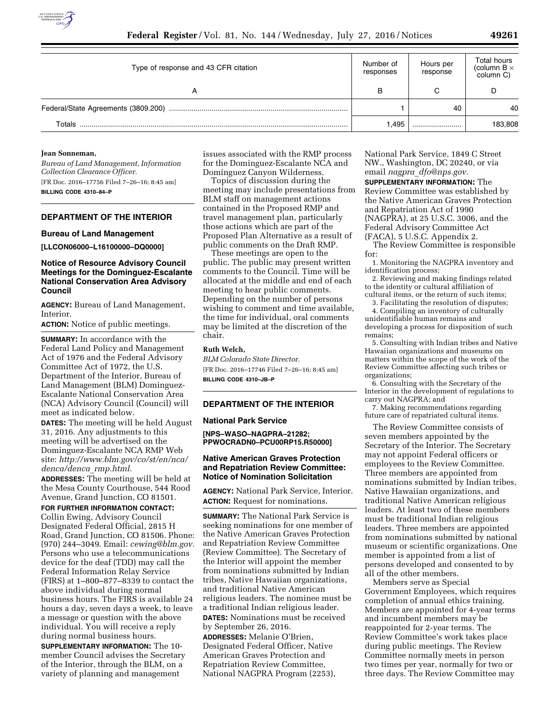

| Type of response and 43 CFR citation | Number of<br>responses | Hours per<br>response | <b>Total hours</b><br>(column $B \times$<br>column C) |
|--------------------------------------|------------------------|-----------------------|-------------------------------------------------------|
|                                      |                        |                       |                                                       |
|                                      |                        | 40                    | 40                                                    |
| Totals                               | .495                   |                       | 183,808                                               |

#### **Jean Sonneman,**

*Bureau of Land Management, Information Collection Clearance Officer.*  [FR Doc. 2016–17756 Filed 7–26–16; 8:45 am] **BILLING CODE 4310–84–P** 

## **DEPARTMENT OF THE INTERIOR**

## **Bureau of Land Management**

**[LLCON06000–L16100000–DQ0000]** 

## **Notice of Resource Advisory Council Meetings for the Dominguez-Escalante National Conservation Area Advisory Council**

**AGENCY:** Bureau of Land Management, Interior.

**ACTION:** Notice of public meetings.

**SUMMARY:** In accordance with the Federal Land Policy and Management Act of 1976 and the Federal Advisory Committee Act of 1972, the U.S. Department of the Interior, Bureau of Land Management (BLM) Dominguez-Escalante National Conservation Area (NCA) Advisory Council (Council) will meet as indicated below.

**DATES:** The meeting will be held August 31, 2016. Any adjustments to this meeting will be advertised on the Dominguez-Escalante NCA RMP Web site: *[http://www.blm.gov/co/st/en/nca/](http://www.blm.gov/co/st/en/nca/denca/denca_rmp.html) [denca/denca](http://www.blm.gov/co/st/en/nca/denca/denca_rmp.html)*\_*rmp.html.* 

**ADDRESSES:** The meeting will be held at the Mesa County Courthouse, 544 Rood Avenue, Grand Junction, CO 81501.

**FOR FURTHER INFORMATION CONTACT:**  Collin Ewing, Advisory Council Designated Federal Official, 2815 H Road, Grand Junction, CO 81506. Phone: (970) 244–3049. Email: *[cewing@blm.gov.](mailto:cewing@blm.gov)*  Persons who use a telecommunications device for the deaf (TDD) may call the Federal Information Relay Service (FIRS) at 1–800–877–8339 to contact the above individual during normal business hours. The FIRS is available 24 hours a day, seven days a week, to leave a message or question with the above individual. You will receive a reply during normal business hours.

**SUPPLEMENTARY INFORMATION:** The 10 member Council advises the Secretary of the Interior, through the BLM, on a variety of planning and management

issues associated with the RMP process for the Dominguez-Escalante NCA and Dominguez Canyon Wilderness.

Topics of discussion during the meeting may include presentations from BLM staff on management actions contained in the Proposed RMP and travel management plan, particularly those actions which are part of the Proposed Plan Alternative as a result of public comments on the Draft RMP.

These meetings are open to the public. The public may present written comments to the Council. Time will be allocated at the middle and end of each meeting to hear public comments. Depending on the number of persons wishing to comment and time available, the time for individual, oral comments may be limited at the discretion of the chair.

#### **Ruth Welch,**

*BLM Colorado State Director.*  [FR Doc. 2016–17746 Filed 7–26–16; 8:45 am] **BILLING CODE 4310–JB–P** 

## **DEPARTMENT OF THE INTERIOR**

#### **National Park Service**

**[NPS–WASO–NAGPRA–21282; PPWOCRADN0–PCU00RP15.R50000]** 

## **Native American Graves Protection and Repatriation Review Committee: Notice of Nomination Solicitation**

**AGENCY:** National Park Service, Interior. **ACTION:** Request for nominations.

**SUMMARY:** The National Park Service is seeking nominations for one member of the Native American Graves Protection and Repatriation Review Committee (Review Committee). The Secretary of the Interior will appoint the member from nominations submitted by Indian tribes, Native Hawaiian organizations, and traditional Native American religious leaders. The nominee must be a traditional Indian religious leader. **DATES:** Nominations must be received by September 26, 2016.

**ADDRESSES:** Melanie O'Brien, Designated Federal Officer, Native American Graves Protection and Repatriation Review Committee, National NAGPRA Program (2253), National Park Service, 1849 C Street NW., Washington, DC 20240, or via email *nagpra*\_*[dfo@nps.gov.](mailto:nagpra_dfo@nps.gov)* 

**SUPPLEMENTARY INFORMATION:** The Review Committee was established by the Native American Graves Protection and Repatriation Act of 1990 (NAGPRA), at 25 U.S.C. 3006, and the Federal Advisory Committee Act (FACA), 5 U.S.C. Appendix 2.

The Review Committee is responsible for:

1. Monitoring the NAGPRA inventory and identification process;

2. Reviewing and making findings related to the identity or cultural affiliation of cultural items, or the return of such items;

3. Facilitating the resolution of disputes; 4. Compiling an inventory of culturally unidentifiable human remains and

developing a process for disposition of such remains; 5. Consulting with Indian tribes and Native

Hawaiian organizations and museums on matters within the scope of the work of the Review Committee affecting such tribes or organizations;

6. Consulting with the Secretary of the Interior in the development of regulations to carry out NAGPRA; and

7. Making recommendations regarding future care of repatriated cultural items.

The Review Committee consists of seven members appointed by the Secretary of the Interior. The Secretary may not appoint Federal officers or employees to the Review Committee. Three members are appointed from nominations submitted by Indian tribes, Native Hawaiian organizations, and traditional Native American religious leaders. At least two of these members must be traditional Indian religious leaders. Three members are appointed from nominations submitted by national museum or scientific organizations. One member is appointed from a list of persons developed and consented to by all of the other members.

Members serve as Special Government Employees, which requires completion of annual ethics training. Members are appointed for 4-year terms and incumbent members may be reappointed for 2-year terms. The Review Committee's work takes place during public meetings. The Review Committee normally meets in person two times per year, normally for two or three days. The Review Committee may